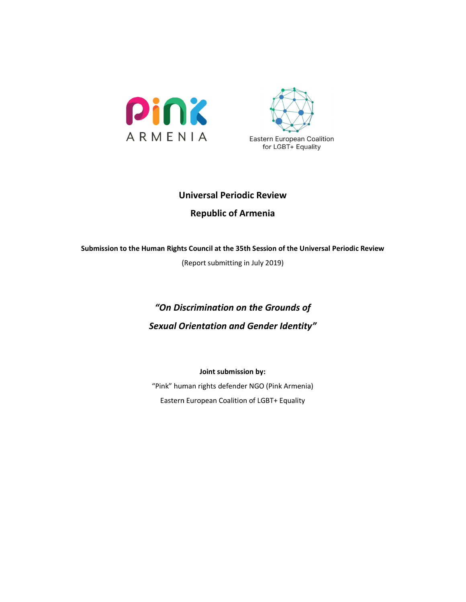



# Universal Periodic Review Universal Republic of Armenia

# Submission to the Human Rights Council at the 35th Session of the Universal Periodic Review

(Report submitting in July 2019)

# "On Discrimination on the Grou On Grounds of Sexual Orientation and Gender Identity" uncil at the 35th Session of the Universal Periodic<br>prt submitting in July 2019)<br>mination on the Grounds of<br>ntation and Gender Identity"<br>Joint submission by:<br>rights defender NGO (Pink Armenia)<br>ppean Coalition of LGBT+ Equa

Joint submission by:

"Pink" human rights defender NGO (Pink Armenia) Eastern European Coalition of LGBT+ Equality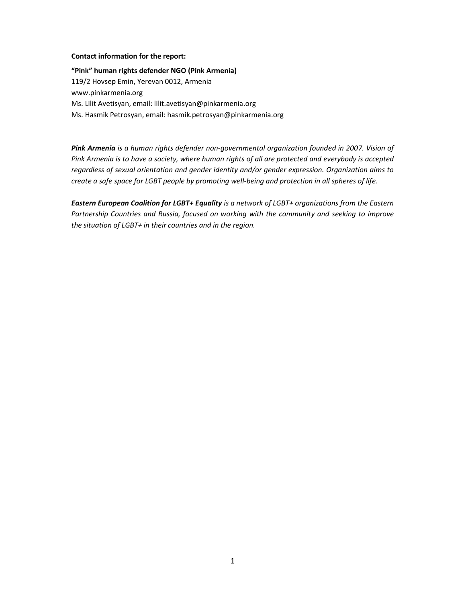#### Contact information for the report:

"Pink" human rights defender NGO (Pink Armenia) 119/2 Hovsep Emin, Yerevan 0012, Armenia www.pinkarmenia.org Ms. Lilit Avetisyan, email: lilit.avetisyan@pinkarmenia.org Ms. Hasmik Petrosyan, email: hasmik.petrosyan@pinkarmenia.org

Pink Armenia is a human rights defender non-governmental organization founded in 2007. Vision of Pink Armenia is to have a society, where human rights of all are protected and everybody is accepted regardless of sexual orientation and gender identity and/or gender expression. Organization aims to create a safe space for LGBT people by promoting well-being and protection in all spheres of life.

Eastern European Coalition for LGBT+ Equality is a network of LGBT+ organizations from the Eastern Partnership Countries and Russia, focused on working with the community and seeking to improve the situation of LGBT+ in their countries and in the region.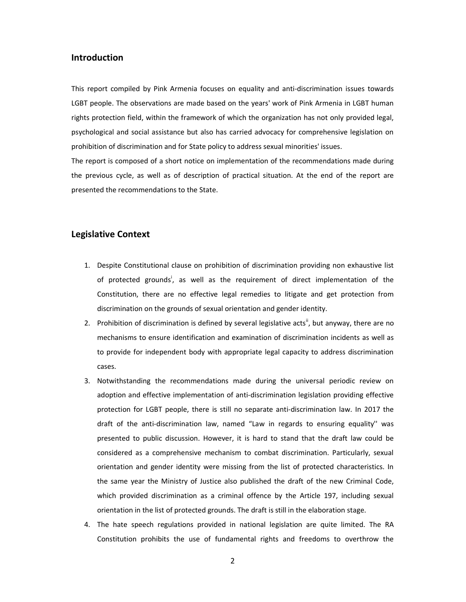#### Introduction

This report compiled by Pink Armenia focuses on equality and anti-discrimination issues towards LGBT people. The observations are made based on the years' work of Pink Armenia in LGBT human rights protection field, within the framework of which the organization has not only provided legal, psychological and social assistance but also has carried advocacy for comprehensive legislation on prohibition of discrimination and for State policy to address sexual minorities' issues.

The report is composed of a short notice on implementation of the recommendations made during the previous cycle, as well as of description of practical situation. At the end of the report are presented the recommendations to the State.

#### Legislative Context

- 1. Despite Constitutional clause on prohibition of discrimination providing non exhaustive list of protected grounds<sup>i</sup>, as well as the requirement of direct implementation of the Constitution, there are no effective legal remedies to litigate and get protection from discrimination on the grounds of sexual orientation and gender identity.
- 2. Prohibition of discrimination is defined by several legislative acts<sup>ii</sup>, but anyway, there are no mechanisms to ensure identification and examination of discrimination incidents as well as to provide for independent body with appropriate legal capacity to address discrimination cases.
- 3. Notwithstanding the recommendations made during the universal periodic review on adoption and effective implementation of anti-discrimination legislation providing effective protection for LGBT people, there is still no separate anti-discrimination law. In 2017 the draft of the anti-discrimination law, named "Law in regards to ensuring equality'' was presented to public discussion. However, it is hard to stand that the draft law could be considered as a comprehensive mechanism to combat discrimination. Particularly, sexual orientation and gender identity were missing from the list of protected characteristics. In the same year the Ministry of Justice also published the draft of the new Criminal Code, which provided discrimination as a criminal offence by the Article 197, including sexual orientation in the list of protected grounds. The draft is still in the elaboration stage.
- 4. The hate speech regulations provided in national legislation are quite limited. The RA Constitution prohibits the use of fundamental rights and freedoms to overthrow the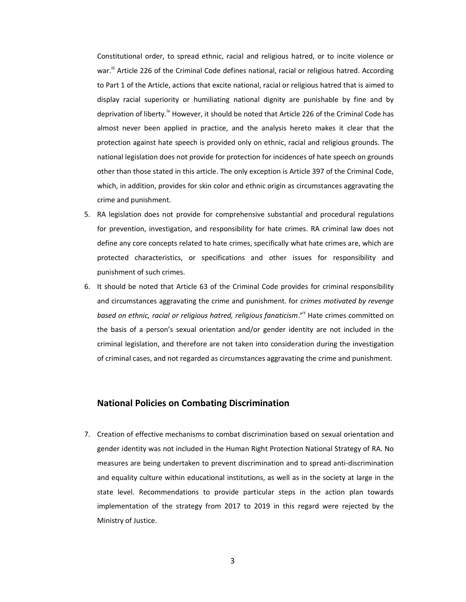Constitutional order, to spread ethnic, racial and religious hatred, or to incite violence or war.<sup>iii</sup> Article 226 of the Criminal Code defines national, racial or religious hatred. According to Part 1 of the Article, actions that excite national, racial or religious hatred that is aimed to display racial superiority or humiliating national dignity are punishable by fine and by deprivation of liberty.<sup>iv</sup> However, it should be noted that Article 226 of the Criminal Code has almost never been applied in practice, and the analysis hereto makes it clear that the protection against hate speech is provided only on ethnic, racial and religious grounds. The national legislation does not provide for protection for incidences of hate speech on grounds other than those stated in this article. The only exception is Article 397 of the Criminal Code, which, in addition, provides for skin color and ethnic origin as circumstances aggravating the crime and punishment.

- 5. RA legislation does not provide for comprehensive substantial and procedural regulations for prevention, investigation, and responsibility for hate crimes. RA criminal law does not define any core concepts related to hate crimes, specifically what hate crimes are, which are protected characteristics, or specifications and other issues for responsibility and punishment of such crimes.
- 6. It should be noted that Article 63 of the Criminal Code provides for criminal responsibility and circumstances aggravating the crime and punishment. for crimes motivated by revenge based on ethnic, racial or religious hatred, religious fanaticism." Hate crimes committed on the basis of a person's sexual orientation and/or gender identity are not included in the criminal legislation, and therefore are not taken into consideration during the investigation of criminal cases, and not regarded as circumstances aggravating the crime and punishment.

#### National Policies on Combating Discrimination

7. Creation of effective mechanisms to combat discrimination based on sexual orientation and gender identity was not included in the Human Right Protection National Strategy of RA. No measures are being undertaken to prevent discrimination and to spread anti-discrimination and equality culture within educational institutions, as well as in the society at large in the state level. Recommendations to provide particular steps in the action plan towards implementation of the strategy from 2017 to 2019 in this regard were rejected by the Ministry of Justice.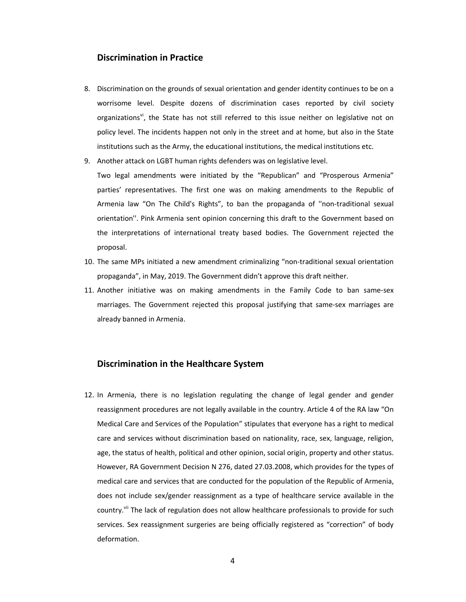#### Discrimination in Practice

- 8. Discrimination on the grounds of sexual orientation and gender identity continues to be on a worrisome level. Despite dozens of discrimination cases reported by civil society organizations<sup>vi</sup>, the State has not still referred to this issue neither on legislative not on policy level. The incidents happen not only in the street and at home, but also in the State institutions such as the Army, the educational institutions, the medical institutions etc.
- 9. Another attack on LGBT human rights defenders was on legislative level.

Two legal amendments were initiated by the "Republican" and "Prosperous Armenia" parties' representatives. The first one was on making amendments to the Republic of Armenia law "On The Child's Rights", to ban the propaganda of ''non-traditional sexual orientation''. Pink Armenia sent opinion concerning this draft to the Government based on the interpretations of international treaty based bodies. The Government rejected the proposal.

- 10. The same MPs initiated a new amendment criminalizing "non-traditional sexual orientation propaganda", in May, 2019. The Government didn't approve this draft neither.
- 11. Another initiative was on making amendments in the Family Code to ban same-sex marriages. The Government rejected this proposal justifying that same-sex marriages are already banned in Armenia.

#### Discrimination in the Healthcare System

12. In Armenia, there is no legislation regulating the change of legal gender and gender reassignment procedures are not legally available in the country. Article 4 of the RA law "On Medical Care and Services of the Population" stipulates that everyone has a right to medical care and services without discrimination based on nationality, race, sex, language, religion, age, the status of health, political and other opinion, social origin, property and other status. However, RA Government Decision N 276, dated 27.03.2008, which provides for the types of medical care and services that are conducted for the population of the Republic of Armenia, does not include sex/gender reassignment as a type of healthcare service available in the country.<sup>vii</sup> The lack of regulation does not allow healthcare professionals to provide for such services. Sex reassignment surgeries are being officially registered as "correction" of body deformation.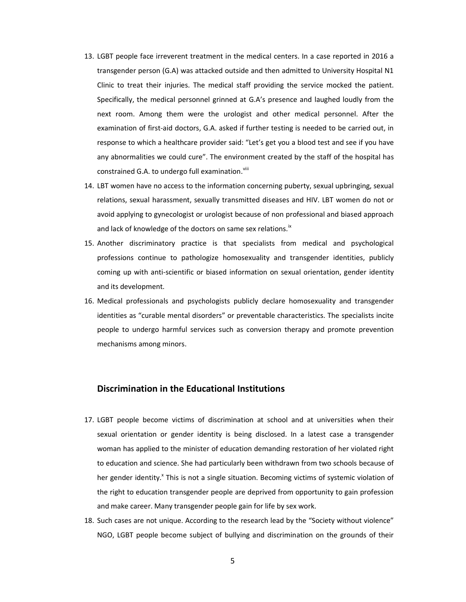- 13. LGBT people face irreverent treatment in the medical centers. In a case reported in 2016 a transgender person (G.A) was attacked outside and then admitted to University Hospital N1 Clinic to treat their injuries. The medical staff providing the service mocked the patient. Specifically, the medical personnel grinned at G.A's presence and laughed loudly from the next room. Among them were the urologist and other medical personnel. After the examination of first-aid doctors, G.A. asked if further testing is needed to be carried out, in response to which a healthcare provider said: "Let's get you a blood test and see if you have any abnormalities we could cure". The environment created by the staff of the hospital has constrained G.A. to undergo full examination.<sup>viii</sup>
- 14. LBT women have no access to the information concerning puberty, sexual upbringing, sexual relations, sexual harassment, sexually transmitted diseases and HIV. LBT women do not or avoid applying to gynecologist or urologist because of non professional and biased approach and lack of knowledge of the doctors on same sex relations.<sup>ix</sup>
- 15. Another discriminatory practice is that specialists from medical and psychological professions continue to pathologize homosexuality and transgender identities, publicly coming up with anti-scientific or biased information on sexual orientation, gender identity and its development.
- 16. Medical professionals and psychologists publicly declare homosexuality and transgender identities as "curable mental disorders" or preventable characteristics. The specialists incite people to undergo harmful services such as conversion therapy and promote prevention mechanisms among minors.

### Discrimination in the Educational Institutions

- 17. LGBT people become victims of discrimination at school and at universities when their sexual orientation or gender identity is being disclosed. In a latest case a transgender woman has applied to the minister of education demanding restoration of her violated right to education and science. She had particularly been withdrawn from two schools because of her gender identity.<sup>x</sup> This is not a single situation. Becoming victims of systemic violation of the right to education transgender people are deprived from opportunity to gain profession and make career. Many transgender people gain for life by sex work.
- 18. Such cases are not unique. According to the research lead by the "Society without violence" NGO, LGBT people become subject of bullying and discrimination on the grounds of their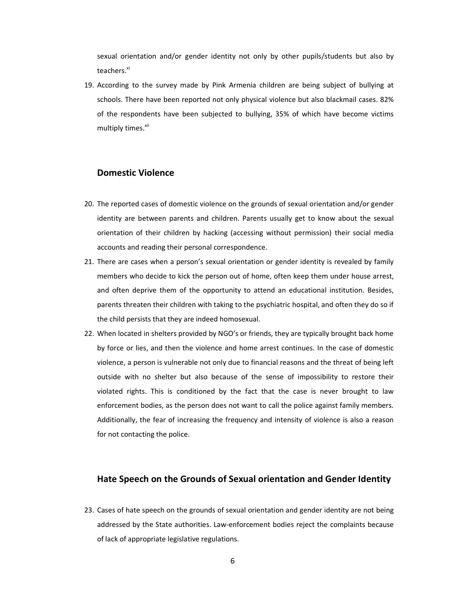sexual orientation and/or gender identity not only by other pupils/students but also by teachers.<sup>xi</sup>

19. According to the survey made by Pink Armenia children are being subject of bullying at schools. There have been reported not only physical violence but also blackmail cases. 82% of the respondents have been subjected to bullying, 35% of which have become victims multiply times.<sup>xii</sup>

## Domestic Violence

- 20. The reported cases of domestic violence on the grounds of sexual orientation and/or gender identity are between parents and children. Parents usually get to know about the sexual orientation of their children by hacking (accessing without permission) their social media accounts and reading their personal correspondence.
- 21. There are cases when a person's sexual orientation or gender identity is revealed by family members who decide to kick the person out of home, often keep them under house arrest, and often deprive them of the opportunity to attend an educational institution. Besides, parents threaten their children with taking to the psychiatric hospital, and often they do so if the child persists that they are indeed homosexual.
- 22. When located in shelters provided by NGO's or friends, they are typically brought back home by force or lies, and then the violence and home arrest continues. In the case of domestic violence, a person is vulnerable not only due to financial reasons and the threat of being left outside with no shelter but also because of the sense of impossibility to restore their violated rights. This is conditioned by the fact that the case is never brought to law enforcement bodies, as the person does not want to call the police against family members. Additionally, the fear of increasing the frequency and intensity of violence is also a reason for not contacting the police.

#### Hate Speech on the Grounds of Sexual orientation and Gender Identity

23. Cases of hate speech on the grounds of sexual orientation and gender identity are not being addressed by the State authorities. Law-enforcement bodies reject the complaints because of lack of appropriate legislative regulations.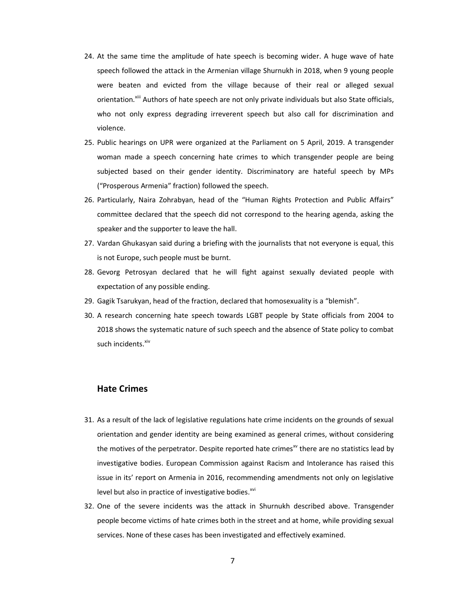- 24. At the same time the amplitude of hate speech is becoming wider. A huge wave of hate speech followed the attack in the Armenian village Shurnukh in 2018, when 9 young people were beaten and evicted from the village because of their real or alleged sexual orientation.<sup>xiii</sup> Authors of hate speech are not only private individuals but also State officials, who not only express degrading irreverent speech but also call for discrimination and violence.
- 25. Public hearings on UPR were organized at the Parliament on 5 April, 2019. A transgender woman made a speech concerning hate crimes to which transgender people are being subjected based on their gender identity. Discriminatory are hateful speech by MPs ("Prosperous Armenia" fraction) followed the speech.
- 26. Particularly, Naira Zohrabyan, head of the "Human Rights Protection and Public Affairs" committee declared that the speech did not correspond to the hearing agenda, asking the speaker and the supporter to leave the hall.
- 27. Vardan Ghukasyan said during a briefing with the journalists that not everyone is equal, this is not Europe, such people must be burnt.
- 28. Gevorg Petrosyan declared that he will fight against sexually deviated people with expectation of any possible ending.
- 29. Gagik Tsarukyan, head of the fraction, declared that homosexuality is a "blemish".
- 30. A research concerning hate speech towards LGBT people by State officials from 2004 to 2018 shows the systematic nature of such speech and the absence of State policy to combat such incidents.<sup>xiv</sup>

# Hate Crimes

- 31. As a result of the lack of legislative regulations hate crime incidents on the grounds of sexual orientation and gender identity are being examined as general crimes, without considering the motives of the perpetrator. Despite reported hate crimes<sup>xy</sup> there are no statistics lead by investigative bodies. European Commission against Racism and Intolerance has raised this issue in its' report on Armenia in 2016, recommending amendments not only on legislative level but also in practice of investigative bodies.<sup>xvi</sup>
- 32. One of the severe incidents was the attack in Shurnukh described above. Transgender people become victims of hate crimes both in the street and at home, while providing sexual services. None of these cases has been investigated and effectively examined.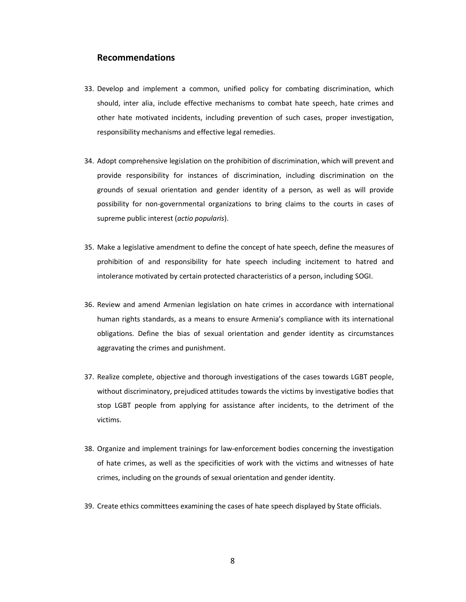#### Recommendations

- 33. Develop and implement a common, unified policy for combating discrimination, which should, inter alia, include effective mechanisms to combat hate speech, hate crimes and other hate motivated incidents, including prevention of such cases, proper investigation, responsibility mechanisms and effective legal remedies.
- 34. Adopt comprehensive legislation on the prohibition of discrimination, which will prevent and provide responsibility for instances of discrimination, including discrimination on the grounds of sexual orientation and gender identity of a person, as well as will provide possibility for non-governmental organizations to bring claims to the courts in cases of supreme public interest (actio popularis).
- 35. Make a legislative amendment to define the concept of hate speech, define the measures of prohibition of and responsibility for hate speech including incitement to hatred and intolerance motivated by certain protected characteristics of a person, including SOGI.
- 36. Review and amend Armenian legislation on hate crimes in accordance with international human rights standards, as a means to ensure Armenia's compliance with its international obligations. Define the bias of sexual orientation and gender identity as circumstances aggravating the crimes and punishment.
- 37. Realize complete, objective and thorough investigations of the cases towards LGBT people, without discriminatory, prejudiced attitudes towards the victims by investigative bodies that stop LGBT people from applying for assistance after incidents, to the detriment of the victims.
- 38. Organize and implement trainings for law-enforcement bodies concerning the investigation of hate crimes, as well as the specificities of work with the victims and witnesses of hate crimes, including on the grounds of sexual orientation and gender identity.
- 39. Create ethics committees examining the cases of hate speech displayed by State officials.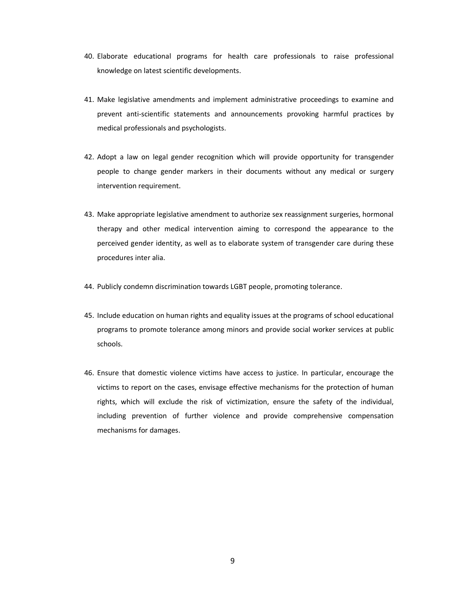- 40. Elaborate educational programs for health care professionals to raise professional knowledge on latest scientific developments.
- 41. Make legislative amendments and implement administrative proceedings to examine and prevent anti-scientific statements and announcements provoking harmful practices by medical professionals and psychologists.
- 42. Adopt a law on legal gender recognition which will provide opportunity for transgender people to change gender markers in their documents without any medical or surgery intervention requirement.
- 43. Make appropriate legislative amendment to authorize sex reassignment surgeries, hormonal therapy and other medical intervention aiming to correspond the appearance to the perceived gender identity, as well as to elaborate system of transgender care during these procedures inter alia.
- 44. Publicly condemn discrimination towards LGBT people, promoting tolerance.
- 45. Include education on human rights and equality issues at the programs of school educational programs to promote tolerance among minors and provide social worker services at public schools.
- 46. Ensure that domestic violence victims have access to justice. In particular, encourage the victims to report on the cases, envisage effective mechanisms for the protection of human rights, which will exclude the risk of victimization, ensure the safety of the individual, including prevention of further violence and provide comprehensive compensation mechanisms for damages.